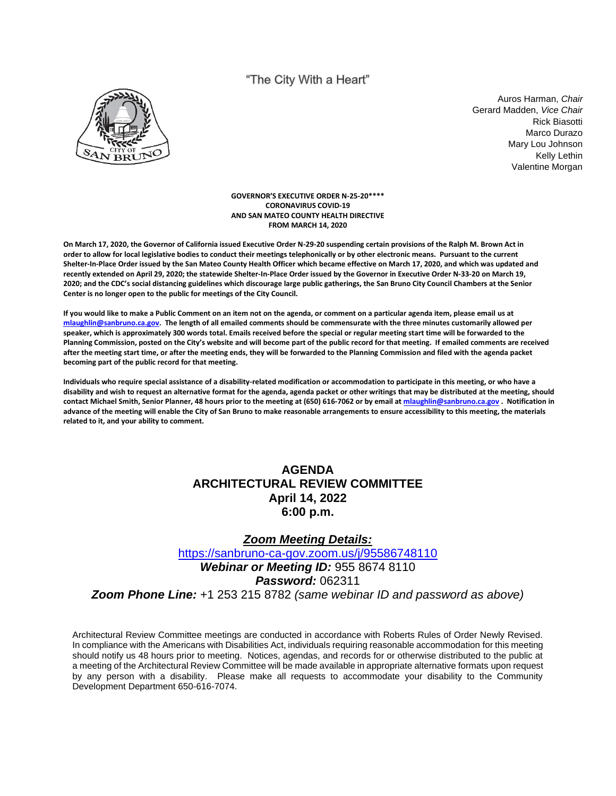# "The City With a Heart"



Auros Harman, *Chair* Gerard Madden, *Vice Chair* Rick Biasotti Marco Durazo Mary Lou Johnson Kelly Lethin Valentine Morgan

#### **GOVERNOR'S EXECUTIVE ORDER N-25-20\*\*\*\* CORONAVIRUS COVID-19 AND SAN MATEO COUNTY HEALTH DIRECTIVE FROM MARCH 14, 2020**

**On March 17, 2020, the Governor of California issued Executive Order N-29-20 suspending certain provisions of the Ralph M. Brown Act in order to allow for local legislative bodies to conduct their meetings telephonically or by other electronic means. Pursuant to the current Shelter-In-Place Order issued by the San Mateo County Health Officer which became effective on March 17, 2020, and which was updated and recently extended on April 29, 2020; the statewide Shelter-In-Place Order issued by the Governor in Executive Order N-33-20 on March 19, 2020; and the CDC's social distancing guidelines which discourage large public gatherings, the San Bruno City Council Chambers at the Senior Center is no longer open to the public for meetings of the City Council.** 

**If you would like to make a Public Comment on an item not on the agenda, or comment on a particular agenda item, please email us at mlaughlin@sanbruno.ca.gov. The length of all emailed comments should be commensurate with the three minutes customarily allowed per speaker, which is approximately 300 words total. Emails received before the special or regular meeting start time will be forwarded to the Planning Commission, posted on the City's website and will become part of the public record for that meeting. If emailed comments are received after the meeting start time, or after the meeting ends, they will be forwarded to the Planning Commission and filed with the agenda packet becoming part of the public record for that meeting.** 

**Individuals who require special assistance of a disability-related modification or accommodation to participate in this meeting, or who have a disability and wish to request an alternative format for the agenda, agenda packet or other writings that may be distributed at the meeting, should contact Michael Smith, Senior Planner, 48 hours prior to the meeting at (650) 616-7062 or by email at mlaughlin@sanbruno.ca.gov . Notification in advance of the meeting will enable the City of San Bruno to make reasonable arrangements to ensure accessibility to this meeting, the materials related to it, and your ability to comment.** 

# **AGENDA ARCHITECTURAL REVIEW COMMITTEE April 14, 2022 6:00 p.m.**

### *Zoom Meeting Details:*

<https://sanbruno-ca-gov.zoom.us/j/95586748110> *Webinar or Meeting ID:* 955 8674 8110 *Password:* 062311 *Zoom Phone Line:* +1 253 215 8782 *(same webinar ID and password as above)*

Architectural Review Committee meetings are conducted in accordance with Roberts Rules of Order Newly Revised. In compliance with the Americans with Disabilities Act, individuals requiring reasonable accommodation for this meeting should notify us 48 hours prior to meeting. Notices, agendas, and records for or otherwise distributed to the public at a meeting of the Architectural Review Committee will be made available in appropriate alternative formats upon request by any person with a disability. Please make all requests to accommodate your disability to the Community Development Department 650-616-7074.